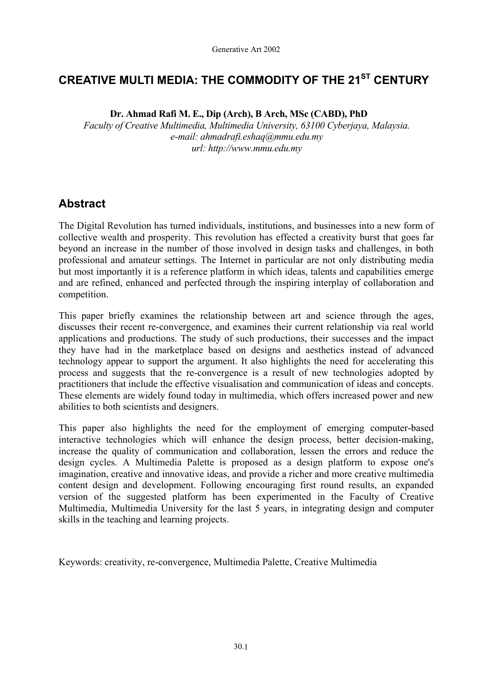# **CREATIVE MULTI MEDIA: THE COMMODITY OF THE 21ST CENTURY**

**Dr. Ahmad Rafi M. E., Dip (Arch), B Arch, MSc (CABD), PhD** 

*Faculty of Creative Multimedia, Multimedia University, 63100 Cyberjaya, Malaysia. e-mail: ahmadrafi.eshaq@mmu.edu.my url: http://www.mmu.edu.my* 

## **Abstract**

The Digital Revolution has turned individuals, institutions, and businesses into a new form of collective wealth and prosperity. This revolution has effected a creativity burst that goes far beyond an increase in the number of those involved in design tasks and challenges, in both professional and amateur settings. The Internet in particular are not only distributing media but most importantly it is a reference platform in which ideas, talents and capabilities emerge and are refined, enhanced and perfected through the inspiring interplay of collaboration and competition.

This paper briefly examines the relationship between art and science through the ages, discusses their recent re-convergence, and examines their current relationship via real world applications and productions. The study of such productions, their successes and the impact they have had in the marketplace based on designs and aesthetics instead of advanced technology appear to support the argument. It also highlights the need for accelerating this process and suggests that the re-convergence is a result of new technologies adopted by practitioners that include the effective visualisation and communication of ideas and concepts. These elements are widely found today in multimedia, which offers increased power and new abilities to both scientists and designers.

This paper also highlights the need for the employment of emerging computer-based interactive technologies which will enhance the design process, better decision-making, increase the quality of communication and collaboration, lessen the errors and reduce the design cycles. A Multimedia Palette is proposed as a design platform to expose one's imagination, creative and innovative ideas, and provide a richer and more creative multimedia content design and development. Following encouraging first round results, an expanded version of the suggested platform has been experimented in the Faculty of Creative Multimedia, Multimedia University for the last 5 years, in integrating design and computer skills in the teaching and learning projects.

Keywords: creativity, re-convergence, Multimedia Palette, Creative Multimedia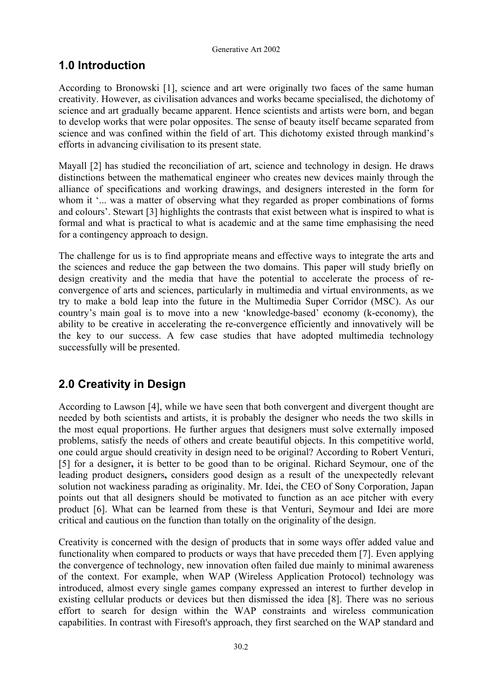# **1.0 Introduction**

According to Bronowski [1], science and art were originally two faces of the same human creativity. However, as civilisation advances and works became specialised, the dichotomy of science and art gradually became apparent. Hence scientists and artists were born, and began to develop works that were polar opposites. The sense of beauty itself became separated from science and was confined within the field of art. This dichotomy existed through mankind's efforts in advancing civilisation to its present state.

Mayall [2] has studied the reconciliation of art, science and technology in design. He draws distinctions between the mathematical engineer who creates new devices mainly through the alliance of specifications and working drawings, and designers interested in the form for whom it '... was a matter of observing what they regarded as proper combinations of forms and colours'. Stewart [3] highlights the contrasts that exist between what is inspired to what is formal and what is practical to what is academic and at the same time emphasising the need for a contingency approach to design.

The challenge for us is to find appropriate means and effective ways to integrate the arts and the sciences and reduce the gap between the two domains. This paper will study briefly on design creativity and the media that have the potential to accelerate the process of reconvergence of arts and sciences, particularly in multimedia and virtual environments, as we try to make a bold leap into the future in the Multimedia Super Corridor (MSC). As our country's main goal is to move into a new 'knowledge-based' economy (k-economy), the ability to be creative in accelerating the re-convergence efficiently and innovatively will be the key to our success. A few case studies that have adopted multimedia technology successfully will be presented.

# **2.0 Creativity in Design**

According to Lawson [4], while we have seen that both convergent and divergent thought are needed by both scientists and artists, it is probably the designer who needs the two skills in the most equal proportions. He further argues that designers must solve externally imposed problems, satisfy the needs of others and create beautiful objects. In this competitive world, one could argue should creativity in design need to be original? According to Robert Venturi, [5] for a designer**,** it is better to be good than to be original. Richard Seymour, one of the leading product designers**,** considers good design as a result of the unexpectedly relevant solution not wackiness parading as originality. Mr. Idei, the CEO of Sony Corporation, Japan points out that all designers should be motivated to function as an ace pitcher with every product [6]. What can be learned from these is that Venturi, Seymour and Idei are more critical and cautious on the function than totally on the originality of the design.

Creativity is concerned with the design of products that in some ways offer added value and functionality when compared to products or ways that have preceded them [7]. Even applying the convergence of technology, new innovation often failed due mainly to minimal awareness of the context. For example, when WAP (Wireless Application Protocol) technology was introduced, almost every single games company expressed an interest to further develop in existing cellular products or devices but then dismissed the idea [8]. There was no serious effort to search for design within the WAP constraints and wireless communication capabilities. In contrast with Firesoft's approach, they first searched on the WAP standard and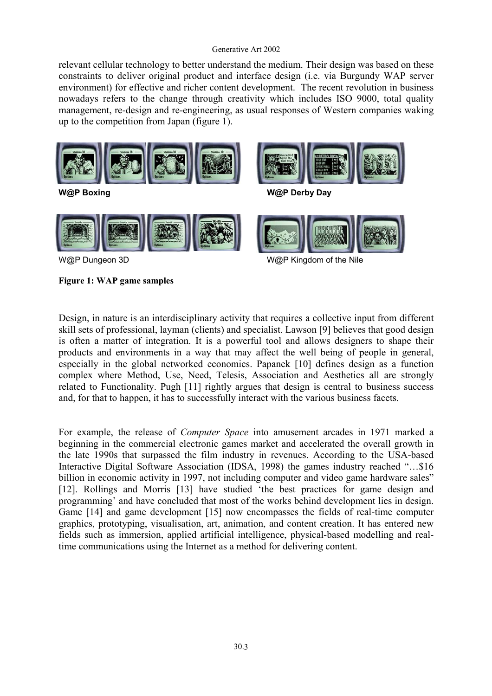relevant cellular technology to better understand the medium. Their design was based on these constraints to deliver original product and interface design (i.e. via Burgundy WAP server environment) for effective and richer content development. The recent revolution in business nowadays refers to the change through creativity which includes ISO 9000, total quality management, re-design and re-engineering, as usual responses of Western companies waking up to the competition from Japan (figure 1).



**Figure 1: WAP game samples** 

Design, in nature is an interdisciplinary activity that requires a collective input from different skill sets of professional, layman (clients) and specialist. Lawson [9] believes that good design is often a matter of integration. It is a powerful tool and allows designers to shape their products and environments in a way that may affect the well being of people in general, especially in the global networked economies. Papanek [10] defines design as a function complex where Method, Use, Need, Telesis, Association and Aesthetics all are strongly related to Functionality. Pugh [11] rightly argues that design is central to business success and, for that to happen, it has to successfully interact with the various business facets.

For example, the release of *Computer Space* into amusement arcades in 1971 marked a beginning in the commercial electronic games market and accelerated the overall growth in the late 1990s that surpassed the film industry in revenues. According to the USA-based Interactive Digital Software Association (IDSA, 1998) the games industry reached "…\$16 billion in economic activity in 1997, not including computer and video game hardware sales" [12]. Rollings and Morris [13] have studied 'the best practices for game design and programming' and have concluded that most of the works behind development lies in design. Game [14] and game development [15] now encompasses the fields of real-time computer graphics, prototyping, visualisation, art, animation, and content creation. It has entered new fields such as immersion, applied artificial intelligence, physical-based modelling and realtime communications using the Internet as a method for delivering content.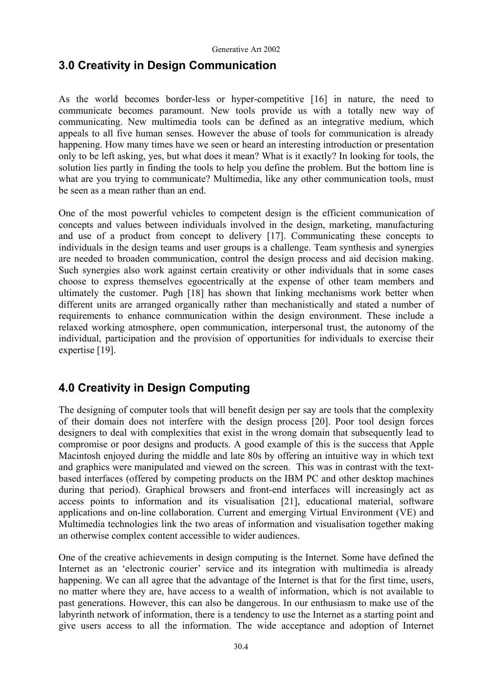## **3.0 Creativity in Design Communication**

As the world becomes border-less or hyper-competitive [16] in nature, the need to communicate becomes paramount. New tools provide us with a totally new way of communicating. New multimedia tools can be defined as an integrative medium, which appeals to all five human senses. However the abuse of tools for communication is already happening. How many times have we seen or heard an interesting introduction or presentation only to be left asking, yes, but what does it mean? What is it exactly? In looking for tools, the solution lies partly in finding the tools to help you define the problem. But the bottom line is what are you trying to communicate? Multimedia, like any other communication tools, must be seen as a mean rather than an end.

One of the most powerful vehicles to competent design is the efficient communication of concepts and values between individuals involved in the design, marketing, manufacturing and use of a product from concept to delivery [17]. Communicating these concepts to individuals in the design teams and user groups is a challenge. Team synthesis and synergies are needed to broaden communication, control the design process and aid decision making. Such synergies also work against certain creativity or other individuals that in some cases choose to express themselves egocentrically at the expense of other team members and ultimately the customer. Pugh [18] has shown that linking mechanisms work better when different units are arranged organically rather than mechanistically and stated a number of requirements to enhance communication within the design environment. These include a relaxed working atmosphere, open communication, interpersonal trust, the autonomy of the individual, participation and the provision of opportunities for individuals to exercise their expertise [19].

# **4.0 Creativity in Design Computing**

The designing of computer tools that will benefit design per say are tools that the complexity of their domain does not interfere with the design process [20]. Poor tool design forces designers to deal with complexities that exist in the wrong domain that subsequently lead to compromise or poor designs and products. A good example of this is the success that Apple Macintosh enjoyed during the middle and late 80s by offering an intuitive way in which text and graphics were manipulated and viewed on the screen. This was in contrast with the textbased interfaces (offered by competing products on the IBM PC and other desktop machines during that period). Graphical browsers and front-end interfaces will increasingly act as access points to information and its visualisation [21], educational material, software applications and on-line collaboration. Current and emerging Virtual Environment (VE) and Multimedia technologies link the two areas of information and visualisation together making an otherwise complex content accessible to wider audiences.

One of the creative achievements in design computing is the Internet. Some have defined the Internet as an 'electronic courier' service and its integration with multimedia is already happening. We can all agree that the advantage of the Internet is that for the first time, users, no matter where they are, have access to a wealth of information, which is not available to past generations. However, this can also be dangerous. In our enthusiasm to make use of the labyrinth network of information, there is a tendency to use the Internet as a starting point and give users access to all the information. The wide acceptance and adoption of Internet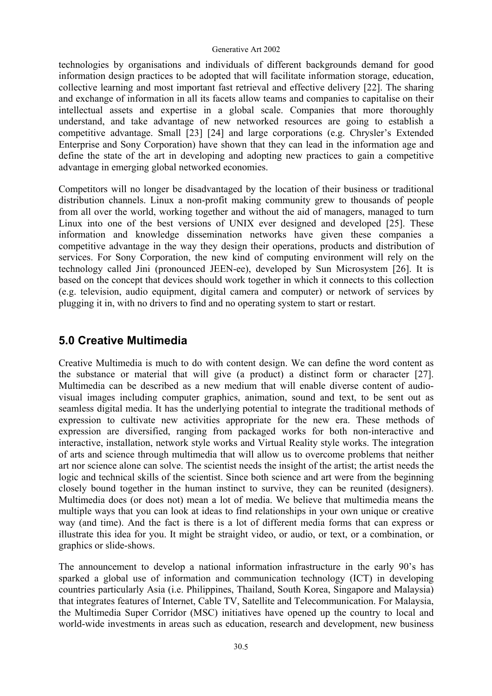technologies by organisations and individuals of different backgrounds demand for good information design practices to be adopted that will facilitate information storage, education, collective learning and most important fast retrieval and effective delivery [22]. The sharing and exchange of information in all its facets allow teams and companies to capitalise on their intellectual assets and expertise in a global scale. Companies that more thoroughly understand, and take advantage of new networked resources are going to establish a competitive advantage. Small [23] [24] and large corporations (e.g. Chrysler's Extended Enterprise and Sony Corporation) have shown that they can lead in the information age and define the state of the art in developing and adopting new practices to gain a competitive advantage in emerging global networked economies.

Competitors will no longer be disadvantaged by the location of their business or traditional distribution channels. Linux a non-profit making community grew to thousands of people from all over the world, working together and without the aid of managers, managed to turn Linux into one of the best versions of UNIX ever designed and developed [25]. These information and knowledge dissemination networks have given these companies a competitive advantage in the way they design their operations, products and distribution of services. For Sony Corporation, the new kind of computing environment will rely on the technology called Jini (pronounced JEEN-ee), developed by Sun Microsystem [26]. It is based on the concept that devices should work together in which it connects to this collection (e.g. television, audio equipment, digital camera and computer) or network of services by plugging it in, with no drivers to find and no operating system to start or restart.

## **5.0 Creative Multimedia**

Creative Multimedia is much to do with content design. We can define the word content as the substance or material that will give (a product) a distinct form or character [27]. Multimedia can be described as a new medium that will enable diverse content of audiovisual images including computer graphics, animation, sound and text, to be sent out as seamless digital media. It has the underlying potential to integrate the traditional methods of expression to cultivate new activities appropriate for the new era. These methods of expression are diversified, ranging from packaged works for both non-interactive and interactive, installation, network style works and Virtual Reality style works. The integration of arts and science through multimedia that will allow us to overcome problems that neither art nor science alone can solve. The scientist needs the insight of the artist; the artist needs the logic and technical skills of the scientist. Since both science and art were from the beginning closely bound together in the human instinct to survive, they can be reunited (designers). Multimedia does (or does not) mean a lot of media. We believe that multimedia means the multiple ways that you can look at ideas to find relationships in your own unique or creative way (and time). And the fact is there is a lot of different media forms that can express or illustrate this idea for you. It might be straight video, or audio, or text, or a combination, or graphics or slide-shows.

The announcement to develop a national information infrastructure in the early 90's has sparked a global use of information and communication technology (ICT) in developing countries particularly Asia (i.e. Philippines, Thailand, South Korea, Singapore and Malaysia) that integrates features of Internet, Cable TV, Satellite and Telecommunication. For Malaysia, the Multimedia Super Corridor (MSC) initiatives have opened up the country to local and world-wide investments in areas such as education, research and development, new business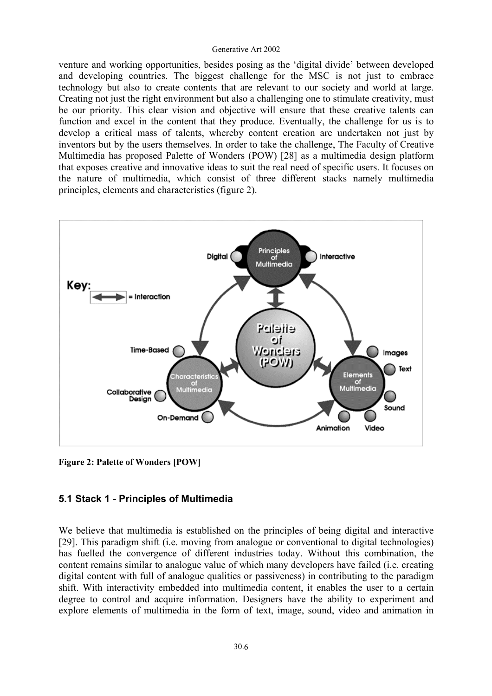venture and working opportunities, besides posing as the 'digital divide' between developed and developing countries. The biggest challenge for the MSC is not just to embrace technology but also to create contents that are relevant to our society and world at large. Creating not just the right environment but also a challenging one to stimulate creativity, must be our priority. This clear vision and objective will ensure that these creative talents can function and excel in the content that they produce. Eventually, the challenge for us is to develop a critical mass of talents, whereby content creation are undertaken not just by inventors but by the users themselves. In order to take the challenge, The Faculty of Creative Multimedia has proposed Palette of Wonders (POW) [28] as a multimedia design platform that exposes creative and innovative ideas to suit the real need of specific users. It focuses on the nature of multimedia, which consist of three different stacks namely multimedia principles, elements and characteristics (figure 2).



**Figure 2: Palette of Wonders [POW]** 

#### **5.1 Stack 1 - Principles of Multimedia**

We believe that multimedia is established on the principles of being digital and interactive [29]. This paradigm shift (i.e. moving from analogue or conventional to digital technologies) has fuelled the convergence of different industries today. Without this combination, the content remains similar to analogue value of which many developers have failed (i.e. creating digital content with full of analogue qualities or passiveness) in contributing to the paradigm shift. With interactivity embedded into multimedia content, it enables the user to a certain degree to control and acquire information. Designers have the ability to experiment and explore elements of multimedia in the form of text, image, sound, video and animation in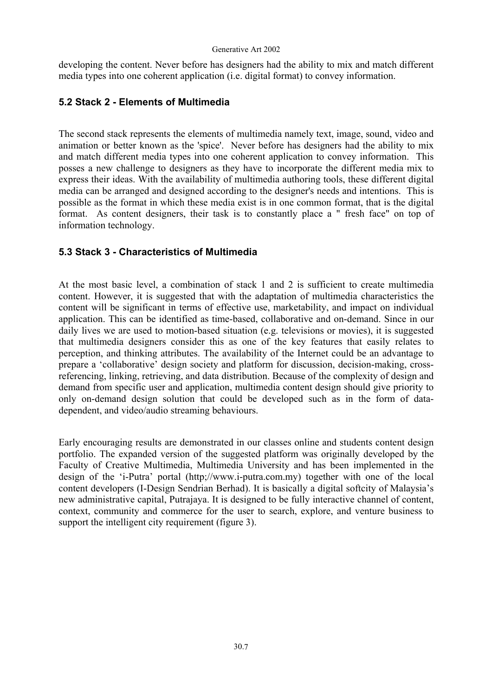developing the content. Never before has designers had the ability to mix and match different media types into one coherent application (i.e. digital format) to convey information.

### **5.2 Stack 2 - Elements of Multimedia**

The second stack represents the elements of multimedia namely text, image, sound, video and animation or better known as the 'spice'. Never before has designers had the ability to mix and match different media types into one coherent application to convey information. This posses a new challenge to designers as they have to incorporate the different media mix to express their ideas. With the availability of multimedia authoring tools, these different digital media can be arranged and designed according to the designer's needs and intentions. This is possible as the format in which these media exist is in one common format, that is the digital format. As content designers, their task is to constantly place a " fresh face" on top of information technology.

### **5.3 Stack 3 - Characteristics of Multimedia**

At the most basic level, a combination of stack 1 and 2 is sufficient to create multimedia content. However, it is suggested that with the adaptation of multimedia characteristics the content will be significant in terms of effective use, marketability, and impact on individual application. This can be identified as time-based, collaborative and on-demand. Since in our daily lives we are used to motion-based situation (e.g. televisions or movies), it is suggested that multimedia designers consider this as one of the key features that easily relates to perception, and thinking attributes. The availability of the Internet could be an advantage to prepare a 'collaborative' design society and platform for discussion, decision-making, crossreferencing, linking, retrieving, and data distribution. Because of the complexity of design and demand from specific user and application, multimedia content design should give priority to only on-demand design solution that could be developed such as in the form of datadependent, and video/audio streaming behaviours.

Early encouraging results are demonstrated in our classes online and students content design portfolio. The expanded version of the suggested platform was originally developed by the Faculty of Creative Multimedia, Multimedia University and has been implemented in the design of the 'i-Putra' portal (http;//www.i-putra.com.my) together with one of the local content developers (I-Design Sendrian Berhad). It is basically a digital softcity of Malaysia's new administrative capital, Putrajaya. It is designed to be fully interactive channel of content, context, community and commerce for the user to search, explore, and venture business to support the intelligent city requirement (figure 3).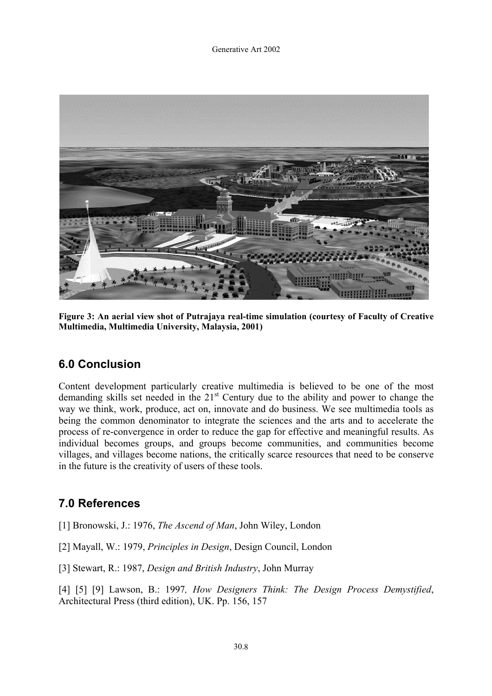

**Figure 3: An aerial view shot of Putrajaya real-time simulation (courtesy of Faculty of Creative Multimedia, Multimedia University, Malaysia, 2001)** 

### **6.0 Conclusion**

Content development particularly creative multimedia is believed to be one of the most demanding skills set needed in the 21<sup>st</sup> Century due to the ability and power to change the way we think, work, produce, act on, innovate and do business. We see multimedia tools as being the common denominator to integrate the sciences and the arts and to accelerate the process of re-convergence in order to reduce the gap for effective and meaningful results. As individual becomes groups, and groups become communities, and communities become villages, and villages become nations, the critically scarce resources that need to be conserve in the future is the creativity of users of these tools.

## **7.0 References**

- [1] Bronowski, J.: 1976, *The Ascend of Man*, John Wiley, London
- [2] Mayall, W.: 1979, *Principles in Design*, Design Council, London
- [3] Stewart, R.: 1987, *Design and British Industry*, John Murray

[4] [5] [9] Lawson, B.: 1997*, How Designers Think: The Design Process Demystified*, Architectural Press (third edition), UK. Pp. 156, 157